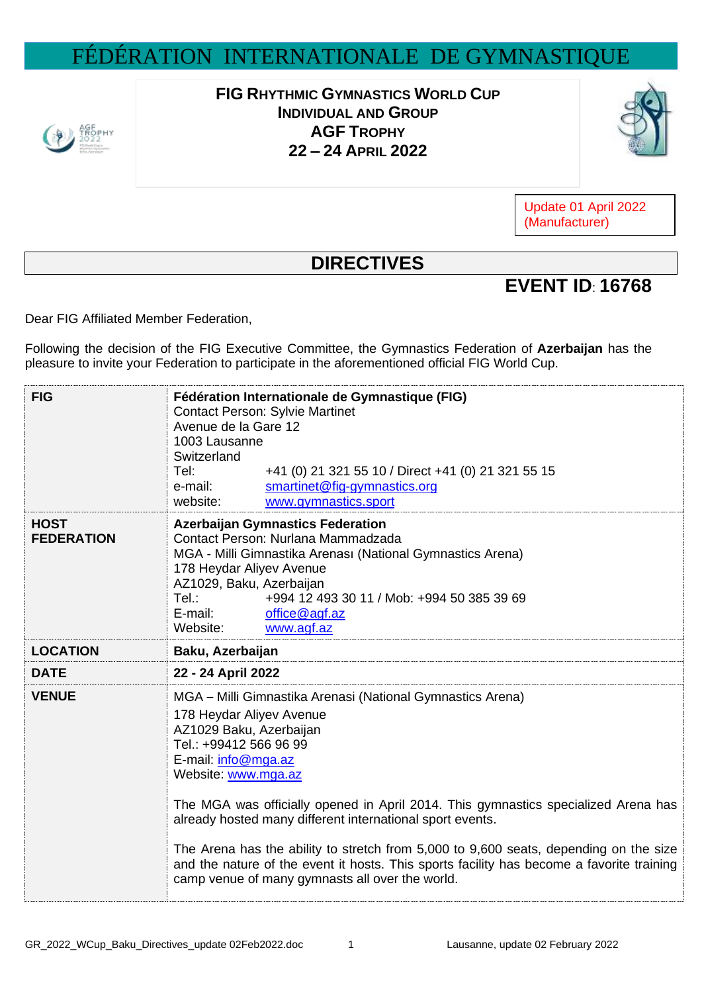## FÉDÉRATION INTERNATIONALE DE GYMNASTIQUE



**FIG RHYTHMIC GYMNASTICS WORLD CUP INDIVIDUAL AND GROUP AGF TROPHY 22 – 24 APRIL 2022**



Update 01 April 2022 (Manufacturer)

## **DIRECTIVES**

## **EVENT ID**: **16768**

Dear FIG Affiliated Member Federation,

Following the decision of the FIG Executive Committee, the Gymnastics Federation of **Azerbaijan** has the pleasure to invite your Federation to participate in the aforementioned official FIG World Cup.

| <b>FIG</b>                       | Fédération Internationale de Gymnastique (FIG)<br><b>Contact Person: Sylvie Martinet</b><br>Avenue de la Gare 12<br>1003 Lausanne<br>Switzerland<br>+41 (0) 21 321 55 10 / Direct +41 (0) 21 321 55 15<br>Tel:<br>smartinet@fig-gymnastics.org<br>e-mail:<br>www.gymnastics.sport<br>website:                                                                                                                                                                                                                                                                                         |
|----------------------------------|---------------------------------------------------------------------------------------------------------------------------------------------------------------------------------------------------------------------------------------------------------------------------------------------------------------------------------------------------------------------------------------------------------------------------------------------------------------------------------------------------------------------------------------------------------------------------------------|
| <b>HOST</b><br><b>FEDERATION</b> | <b>Azerbaijan Gymnastics Federation</b><br>Contact Person: Nurlana Mammadzada<br>MGA - Milli Gimnastika Arenası (National Gymnastics Arena)<br>178 Heydar Aliyev Avenue<br>AZ1029, Baku, Azerbaijan<br>Tel.:<br>+994 12 493 30 11 / Mob: +994 50 385 39 69<br>E-mail:<br>office@agf.az<br>Website:<br>www.agf.az                                                                                                                                                                                                                                                                      |
| <b>LOCATION</b>                  | Baku, Azerbaijan                                                                                                                                                                                                                                                                                                                                                                                                                                                                                                                                                                      |
| <b>DATE</b>                      | 22 - 24 April 2022                                                                                                                                                                                                                                                                                                                                                                                                                                                                                                                                                                    |
| <b>VENUE</b>                     | MGA - Milli Gimnastika Arenasi (National Gymnastics Arena)<br>178 Heydar Aliyev Avenue<br>AZ1029 Baku, Azerbaijan<br>Tel.: +99412 566 96 99<br>E-mail: info@mga.az<br>Website: www.mga.az<br>The MGA was officially opened in April 2014. This gymnastics specialized Arena has<br>already hosted many different international sport events.<br>The Arena has the ability to stretch from 5,000 to 9,600 seats, depending on the size<br>and the nature of the event it hosts. This sports facility has become a favorite training<br>camp venue of many gymnasts all over the world. |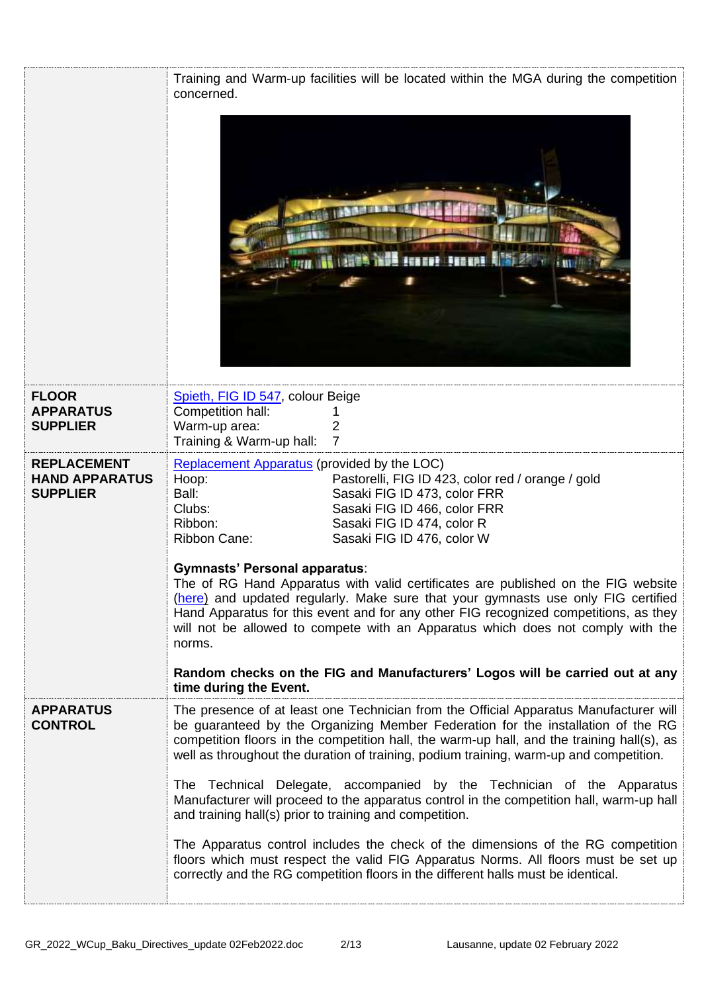|                                                                | Training and Warm-up facilities will be located within the MGA during the competition<br>concerned.                                                                                                                                                                                                                                                                                                                                                                                                                                                                                                                                                                                                                                                                                                                                                               |
|----------------------------------------------------------------|-------------------------------------------------------------------------------------------------------------------------------------------------------------------------------------------------------------------------------------------------------------------------------------------------------------------------------------------------------------------------------------------------------------------------------------------------------------------------------------------------------------------------------------------------------------------------------------------------------------------------------------------------------------------------------------------------------------------------------------------------------------------------------------------------------------------------------------------------------------------|
| <b>FLOOR</b><br><b>APPARATUS</b><br><b>SUPPLIER</b>            | Spieth, FIG ID 547, colour Beige<br>Competition hall:<br>Warm-up area:<br>2<br>7<br>Training & Warm-up hall:                                                                                                                                                                                                                                                                                                                                                                                                                                                                                                                                                                                                                                                                                                                                                      |
| <b>REPLACEMENT</b><br><b>HAND APPARATUS</b><br><b>SUPPLIER</b> | Replacement Apparatus (provided by the LOC)<br>Hoop:<br>Pastorelli, FIG ID 423, color red / orange / gold<br>Ball:<br>Sasaki FIG ID 473, color FRR<br>Clubs:<br>Sasaki FIG ID 466, color FRR<br>Sasaki FIG ID 474, color R<br>Ribbon:<br>Ribbon Cane:<br>Sasaki FIG ID 476, color W<br><b>Gymnasts' Personal apparatus:</b><br>The of RG Hand Apparatus with valid certificates are published on the FIG website<br>(here) and updated regularly. Make sure that your gymnasts use only FIG certified<br>Hand Apparatus for this event and for any other FIG recognized competitions, as they<br>will not be allowed to compete with an Apparatus which does not comply with the<br>norms.<br>Random checks on the FIG and Manufacturers' Logos will be carried out at any<br>time during the Event.                                                              |
| <b>APPARATUS</b><br><b>CONTROL</b>                             | The presence of at least one Technician from the Official Apparatus Manufacturer will<br>be guaranteed by the Organizing Member Federation for the installation of the RG<br>competition floors in the competition hall, the warm-up hall, and the training hall(s), as<br>well as throughout the duration of training, podium training, warm-up and competition.<br>The Technical Delegate, accompanied by the Technician of the Apparatus<br>Manufacturer will proceed to the apparatus control in the competition hall, warm-up hall<br>and training hall(s) prior to training and competition.<br>The Apparatus control includes the check of the dimensions of the RG competition<br>floors which must respect the valid FIG Apparatus Norms. All floors must be set up<br>correctly and the RG competition floors in the different halls must be identical. |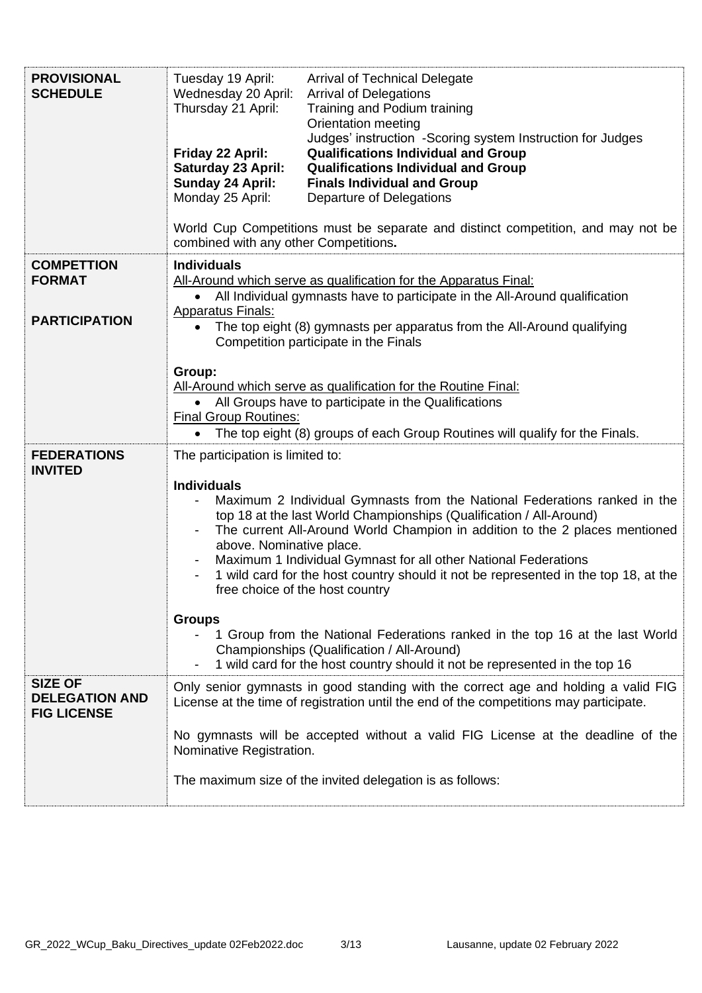| <b>PROVISIONAL</b><br><b>SCHEDULE</b>                         | Tuesday 19 April:<br>Wednesday 20 April:<br><b>Arrival of Delegations</b><br>Thursday 21 April:<br>Orientation meeting<br>Friday 22 April:<br>Saturday 23 April:<br>Sunday 24 April:<br>Monday 25 April:<br>combined with any other Competitions.                                                                                                                                                                                                                                                                                                                          | <b>Arrival of Technical Delegate</b><br>Training and Podium training<br>Judges' instruction -Scoring system Instruction for Judges<br><b>Qualifications Individual and Group</b><br><b>Qualifications Individual and Group</b><br><b>Finals Individual and Group</b><br>Departure of Delegations<br>World Cup Competitions must be separate and distinct competition, and may not be |  |
|---------------------------------------------------------------|----------------------------------------------------------------------------------------------------------------------------------------------------------------------------------------------------------------------------------------------------------------------------------------------------------------------------------------------------------------------------------------------------------------------------------------------------------------------------------------------------------------------------------------------------------------------------|--------------------------------------------------------------------------------------------------------------------------------------------------------------------------------------------------------------------------------------------------------------------------------------------------------------------------------------------------------------------------------------|--|
| <b>COMPETTION</b><br><b>FORMAT</b><br><b>PARTICIPATION</b>    | <b>Individuals</b><br>All-Around which serve as qualification for the Apparatus Final:<br>All Individual gymnasts have to participate in the All-Around qualification<br><b>Apparatus Finals:</b><br>The top eight (8) gymnasts per apparatus from the All-Around qualifying<br>$\bullet$<br>Competition participate in the Finals                                                                                                                                                                                                                                         |                                                                                                                                                                                                                                                                                                                                                                                      |  |
|                                                               | Group:<br>All-Around which serve as qualification for the Routine Final:<br>All Groups have to participate in the Qualifications<br>$\bullet$<br><b>Final Group Routines:</b><br>$\bullet$                                                                                                                                                                                                                                                                                                                                                                                 | The top eight (8) groups of each Group Routines will qualify for the Finals.                                                                                                                                                                                                                                                                                                         |  |
| <b>FEDERATIONS</b><br><b>INVITED</b>                          | The participation is limited to:<br><b>Individuals</b><br>Maximum 2 Individual Gymnasts from the National Federations ranked in the<br>top 18 at the last World Championships (Qualification / All-Around)<br>The current All-Around World Champion in addition to the 2 places mentioned<br>above. Nominative place.<br>Maximum 1 Individual Gymnast for all other National Federations<br>$\overline{\phantom{a}}$<br>1 wild card for the host country should it not be represented in the top 18, at the<br>$\overline{\phantom{a}}$<br>free choice of the host country |                                                                                                                                                                                                                                                                                                                                                                                      |  |
|                                                               | <b>Groups</b><br>Championships (Qualification / All-Around)                                                                                                                                                                                                                                                                                                                                                                                                                                                                                                                | 1 Group from the National Federations ranked in the top 16 at the last World<br>1 wild card for the host country should it not be represented in the top 16                                                                                                                                                                                                                          |  |
| <b>SIZE OF</b><br><b>DELEGATION AND</b><br><b>FIG LICENSE</b> | Nominative Registration.<br>The maximum size of the invited delegation is as follows:                                                                                                                                                                                                                                                                                                                                                                                                                                                                                      | Only senior gymnasts in good standing with the correct age and holding a valid FIG<br>License at the time of registration until the end of the competitions may participate.<br>No gymnasts will be accepted without a valid FIG License at the deadline of the                                                                                                                      |  |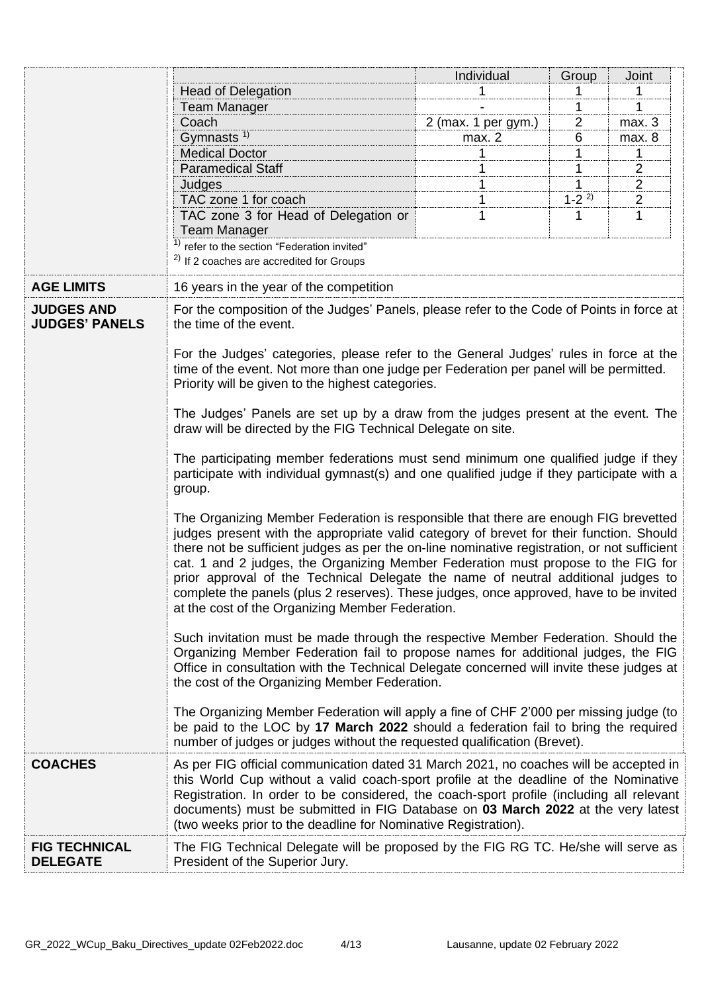|                       |                                                                                                                                                                             | Individual          | Group       | Joint          |
|-----------------------|-----------------------------------------------------------------------------------------------------------------------------------------------------------------------------|---------------------|-------------|----------------|
|                       | <b>Head of Delegation</b>                                                                                                                                                   |                     |             |                |
|                       | <b>Team Manager</b>                                                                                                                                                         |                     |             | 1              |
|                       | Coach                                                                                                                                                                       | 2 (max. 1 per gym.) | 2           | max.3          |
|                       | Gymnasts <sup>1)</sup>                                                                                                                                                      | max. 2              | 6           | max. 8         |
|                       | <b>Medical Doctor</b>                                                                                                                                                       | 1                   | 1           | 1              |
|                       | <b>Paramedical Staff</b>                                                                                                                                                    |                     |             | $\overline{2}$ |
|                       | Judges                                                                                                                                                                      |                     |             | $\overline{2}$ |
|                       | TAC zone 1 for coach                                                                                                                                                        |                     | $1 - 2^{2}$ | $\overline{2}$ |
|                       | TAC zone 3 for Head of Delegation or                                                                                                                                        |                     | 1           | 1              |
|                       | <b>Team Manager</b>                                                                                                                                                         |                     |             |                |
|                       | <sup>1)</sup> refer to the section "Federation invited"                                                                                                                     |                     |             |                |
|                       | $2)$ If 2 coaches are accredited for Groups                                                                                                                                 |                     |             |                |
| <b>AGE LIMITS</b>     |                                                                                                                                                                             |                     |             |                |
|                       | 16 years in the year of the competition                                                                                                                                     |                     |             |                |
| <b>JUDGES AND</b>     | For the composition of the Judges' Panels, please refer to the Code of Points in force at                                                                                   |                     |             |                |
| <b>JUDGES' PANELS</b> | the time of the event.                                                                                                                                                      |                     |             |                |
|                       | For the Judges' categories, please refer to the General Judges' rules in force at the                                                                                       |                     |             |                |
|                       | time of the event. Not more than one judge per Federation per panel will be permitted.                                                                                      |                     |             |                |
|                       | Priority will be given to the highest categories.                                                                                                                           |                     |             |                |
|                       |                                                                                                                                                                             |                     |             |                |
|                       | The Judges' Panels are set up by a draw from the judges present at the event. The                                                                                           |                     |             |                |
|                       | draw will be directed by the FIG Technical Delegate on site.                                                                                                                |                     |             |                |
|                       |                                                                                                                                                                             |                     |             |                |
|                       | The participating member federations must send minimum one qualified judge if they                                                                                          |                     |             |                |
|                       | participate with individual gymnast(s) and one qualified judge if they participate with a                                                                                   |                     |             |                |
|                       | group.                                                                                                                                                                      |                     |             |                |
|                       | The Organizing Member Federation is responsible that there are enough FIG brevetted                                                                                         |                     |             |                |
|                       | judges present with the appropriate valid category of brevet for their function. Should                                                                                     |                     |             |                |
|                       | there not be sufficient judges as per the on-line nominative registration, or not sufficient                                                                                |                     |             |                |
|                       | cat. 1 and 2 judges, the Organizing Member Federation must propose to the FIG for                                                                                           |                     |             |                |
|                       | prior approval of the Technical Delegate the name of neutral additional judges to                                                                                           |                     |             |                |
|                       | complete the panels (plus 2 reserves). These judges, once approved, have to be invited                                                                                      |                     |             |                |
|                       | at the cost of the Organizing Member Federation.                                                                                                                            |                     |             |                |
|                       |                                                                                                                                                                             |                     |             |                |
|                       | Such invitation must be made through the respective Member Federation. Should the                                                                                           |                     |             |                |
|                       | Organizing Member Federation fail to propose names for additional judges, the FIG                                                                                           |                     |             |                |
|                       | Office in consultation with the Technical Delegate concerned will invite these judges at                                                                                    |                     |             |                |
|                       | the cost of the Organizing Member Federation.                                                                                                                               |                     |             |                |
|                       |                                                                                                                                                                             |                     |             |                |
|                       | The Organizing Member Federation will apply a fine of CHF 2'000 per missing judge (to<br>be paid to the LOC by 17 March 2022 should a federation fail to bring the required |                     |             |                |
|                       | number of judges or judges without the requested qualification (Brevet).                                                                                                    |                     |             |                |
|                       |                                                                                                                                                                             |                     |             |                |
| <b>COACHES</b>        | As per FIG official communication dated 31 March 2021, no coaches will be accepted in                                                                                       |                     |             |                |
|                       | this World Cup without a valid coach-sport profile at the deadline of the Nominative                                                                                        |                     |             |                |
|                       | Registration. In order to be considered, the coach-sport profile (including all relevant                                                                                    |                     |             |                |
|                       | documents) must be submitted in FIG Database on 03 March 2022 at the very latest                                                                                            |                     |             |                |
|                       | (two weeks prior to the deadline for Nominative Registration).                                                                                                              |                     |             |                |
| <b>FIG TECHNICAL</b>  | The FIG Technical Delegate will be proposed by the FIG RG TC. He/she will serve as                                                                                          |                     |             |                |
| <b>DELEGATE</b>       | President of the Superior Jury.                                                                                                                                             |                     |             |                |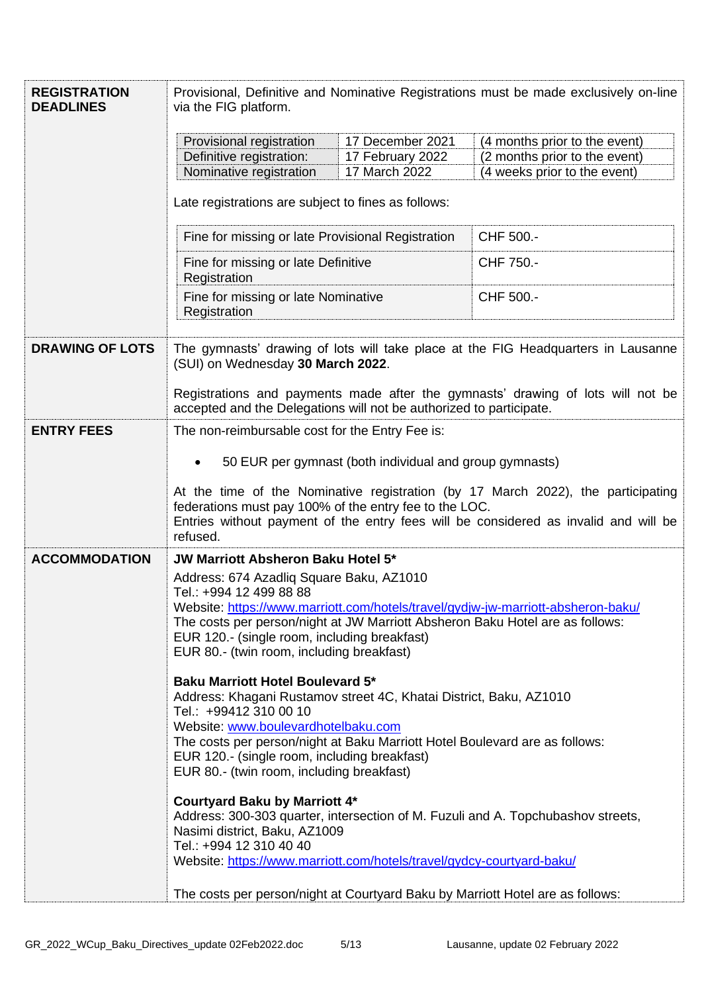| <b>REGISTRATION</b><br><b>DEADLINES</b> | Provisional, Definitive and Nominative Registrations must be made exclusively on-line<br>via the FIG platform.                                                                                                                                                                                           |                  |                                                                                  |  |
|-----------------------------------------|----------------------------------------------------------------------------------------------------------------------------------------------------------------------------------------------------------------------------------------------------------------------------------------------------------|------------------|----------------------------------------------------------------------------------|--|
|                                         | Provisional registration                                                                                                                                                                                                                                                                                 | 17 December 2021 | (4 months prior to the event)                                                    |  |
|                                         | Definitive registration:                                                                                                                                                                                                                                                                                 | 17 February 2022 | (2 months prior to the event)                                                    |  |
|                                         | Nominative registration                                                                                                                                                                                                                                                                                  | 17 March 2022    | (4 weeks prior to the event)                                                     |  |
|                                         | Late registrations are subject to fines as follows:                                                                                                                                                                                                                                                      |                  |                                                                                  |  |
|                                         | Fine for missing or late Provisional Registration                                                                                                                                                                                                                                                        |                  | CHF 500.-                                                                        |  |
|                                         | Fine for missing or late Definitive<br>Registration                                                                                                                                                                                                                                                      |                  | CHF 750.-                                                                        |  |
|                                         | Fine for missing or late Nominative<br>Registration                                                                                                                                                                                                                                                      |                  | CHF 500.-                                                                        |  |
| <b>DRAWING OF LOTS</b>                  | The gymnasts' drawing of lots will take place at the FIG Headquarters in Lausanne<br>(SUI) on Wednesday 30 March 2022.                                                                                                                                                                                   |                  |                                                                                  |  |
|                                         | Registrations and payments made after the gymnasts' drawing of lots will not be<br>accepted and the Delegations will not be authorized to participate.                                                                                                                                                   |                  |                                                                                  |  |
| <b>ENTRY FEES</b>                       | The non-reimbursable cost for the Entry Fee is:                                                                                                                                                                                                                                                          |                  |                                                                                  |  |
|                                         | 50 EUR per gymnast (both individual and group gymnasts)<br>At the time of the Nominative registration (by 17 March 2022), the participating<br>federations must pay 100% of the entry fee to the LOC.<br>Entries without payment of the entry fees will be considered as invalid and will be<br>refused. |                  |                                                                                  |  |
| <b>ACCOMMODATION</b>                    | <b>JW Marriott Absheron Baku Hotel 5*</b>                                                                                                                                                                                                                                                                |                  |                                                                                  |  |
|                                         | Address: 674 Azadliq Square Baku, AZ1010<br>Tel.: +994 12 499 88 88                                                                                                                                                                                                                                      |                  |                                                                                  |  |
|                                         | Website: https://www.marriott.com/hotels/travel/gydjw-jw-marriott-absheron-baku/                                                                                                                                                                                                                         |                  |                                                                                  |  |
|                                         | The costs per person/night at JW Marriott Absheron Baku Hotel are as follows:<br>EUR 120.- (single room, including breakfast)<br>EUR 80.- (twin room, including breakfast)                                                                                                                               |                  |                                                                                  |  |
|                                         | <b>Baku Marriott Hotel Boulevard 5*</b><br>Address: Khagani Rustamov street 4C, Khatai District, Baku, AZ1010<br>Tel.: +99412 310 00 10                                                                                                                                                                  |                  |                                                                                  |  |
|                                         | Website: www.boulevardhotelbaku.com<br>The costs per person/night at Baku Marriott Hotel Boulevard are as follows:                                                                                                                                                                                       |                  |                                                                                  |  |
|                                         | EUR 120.- (single room, including breakfast)                                                                                                                                                                                                                                                             |                  |                                                                                  |  |
|                                         | EUR 80.- (twin room, including breakfast)                                                                                                                                                                                                                                                                |                  |                                                                                  |  |
|                                         | <b>Courtyard Baku by Marriott 4*</b><br>Nasimi district, Baku, AZ1009                                                                                                                                                                                                                                    |                  | Address: 300-303 quarter, intersection of M. Fuzuli and A. Topchubashov streets, |  |
|                                         | Tel.: +994 12 310 40 40<br>Website: https://www.marriott.com/hotels/travel/gydcy-courtyard-baku/                                                                                                                                                                                                         |                  |                                                                                  |  |
|                                         | The costs per person/night at Courtyard Baku by Marriott Hotel are as follows:                                                                                                                                                                                                                           |                  |                                                                                  |  |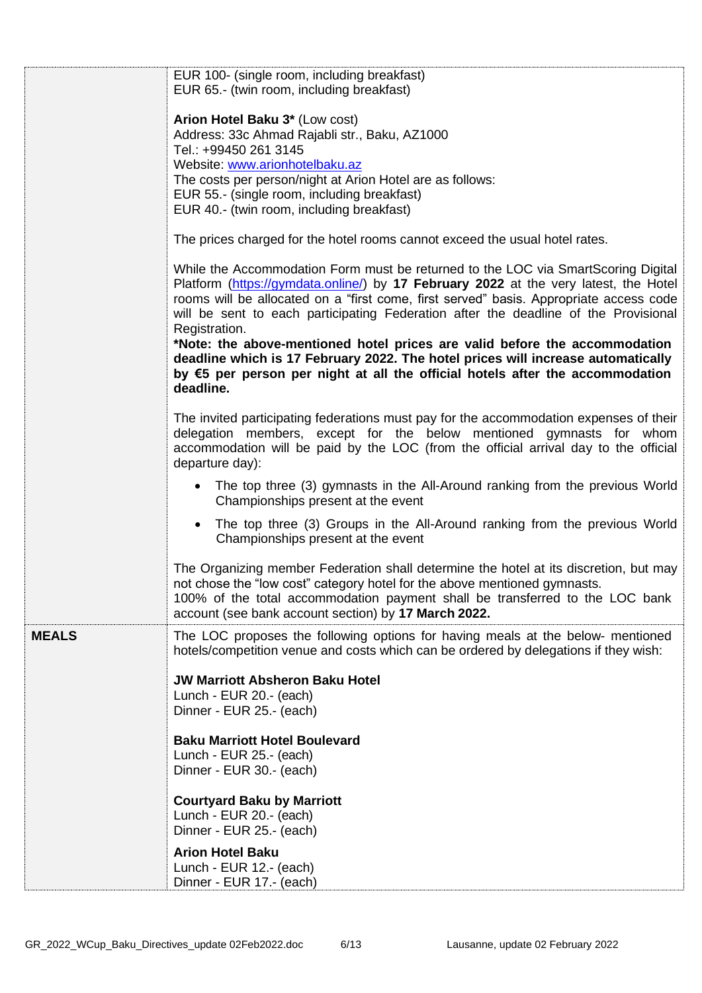|              | EUR 100- (single room, including breakfast)                                                                                                                                                                                                                                                                                                                                 |
|--------------|-----------------------------------------------------------------------------------------------------------------------------------------------------------------------------------------------------------------------------------------------------------------------------------------------------------------------------------------------------------------------------|
|              | EUR 65.- (twin room, including breakfast)                                                                                                                                                                                                                                                                                                                                   |
|              | Arion Hotel Baku 3* (Low cost)                                                                                                                                                                                                                                                                                                                                              |
|              | Address: 33c Ahmad Rajabli str., Baku, AZ1000                                                                                                                                                                                                                                                                                                                               |
|              | Tel.: +99450 261 3145                                                                                                                                                                                                                                                                                                                                                       |
|              | Website: www.arionhotelbaku.az                                                                                                                                                                                                                                                                                                                                              |
|              | The costs per person/night at Arion Hotel are as follows:                                                                                                                                                                                                                                                                                                                   |
|              | EUR 55.- (single room, including breakfast)<br>EUR 40.- (twin room, including breakfast)                                                                                                                                                                                                                                                                                    |
|              |                                                                                                                                                                                                                                                                                                                                                                             |
|              | The prices charged for the hotel rooms cannot exceed the usual hotel rates.                                                                                                                                                                                                                                                                                                 |
|              | While the Accommodation Form must be returned to the LOC via SmartScoring Digital<br>Platform (https://gymdata.online/) by 17 February 2022 at the very latest, the Hotel<br>rooms will be allocated on a "first come, first served" basis. Appropriate access code<br>will be sent to each participating Federation after the deadline of the Provisional<br>Registration. |
|              | *Note: the above-mentioned hotel prices are valid before the accommodation<br>deadline which is 17 February 2022. The hotel prices will increase automatically<br>by €5 per person per night at all the official hotels after the accommodation<br>deadline.                                                                                                                |
|              | The invited participating federations must pay for the accommodation expenses of their<br>delegation members, except for the below mentioned gymnasts for whom<br>accommodation will be paid by the LOC (from the official arrival day to the official<br>departure day):                                                                                                   |
|              | • The top three (3) gymnasts in the All-Around ranking from the previous World<br>Championships present at the event                                                                                                                                                                                                                                                        |
|              | The top three (3) Groups in the All-Around ranking from the previous World<br>$\bullet$<br>Championships present at the event                                                                                                                                                                                                                                               |
|              | The Organizing member Federation shall determine the hotel at its discretion, but may<br>not chose the "low cost" category hotel for the above mentioned gymnasts.<br>100% of the total accommodation payment shall be transferred to the LOC bank<br>account (see bank account section) by 17 March 2022.                                                                  |
| <b>MEALS</b> | The LOC proposes the following options for having meals at the below- mentioned<br>hotels/competition venue and costs which can be ordered by delegations if they wish:                                                                                                                                                                                                     |
|              | <b>JW Marriott Absheron Baku Hotel</b><br>Lunch - EUR 20.- (each)<br>Dinner - EUR 25.- (each)                                                                                                                                                                                                                                                                               |
|              | <b>Baku Marriott Hotel Boulevard</b>                                                                                                                                                                                                                                                                                                                                        |
|              | Lunch - EUR 25.- (each)                                                                                                                                                                                                                                                                                                                                                     |
|              | Dinner - EUR 30.- (each)                                                                                                                                                                                                                                                                                                                                                    |
|              |                                                                                                                                                                                                                                                                                                                                                                             |
|              | <b>Courtyard Baku by Marriott</b><br>Lunch - EUR 20.- (each)                                                                                                                                                                                                                                                                                                                |
|              | Dinner - EUR 25.- (each)                                                                                                                                                                                                                                                                                                                                                    |
|              | <b>Arion Hotel Baku</b>                                                                                                                                                                                                                                                                                                                                                     |
|              | Lunch - EUR 12.- (each)<br>Dinner - EUR 17.- (each)                                                                                                                                                                                                                                                                                                                         |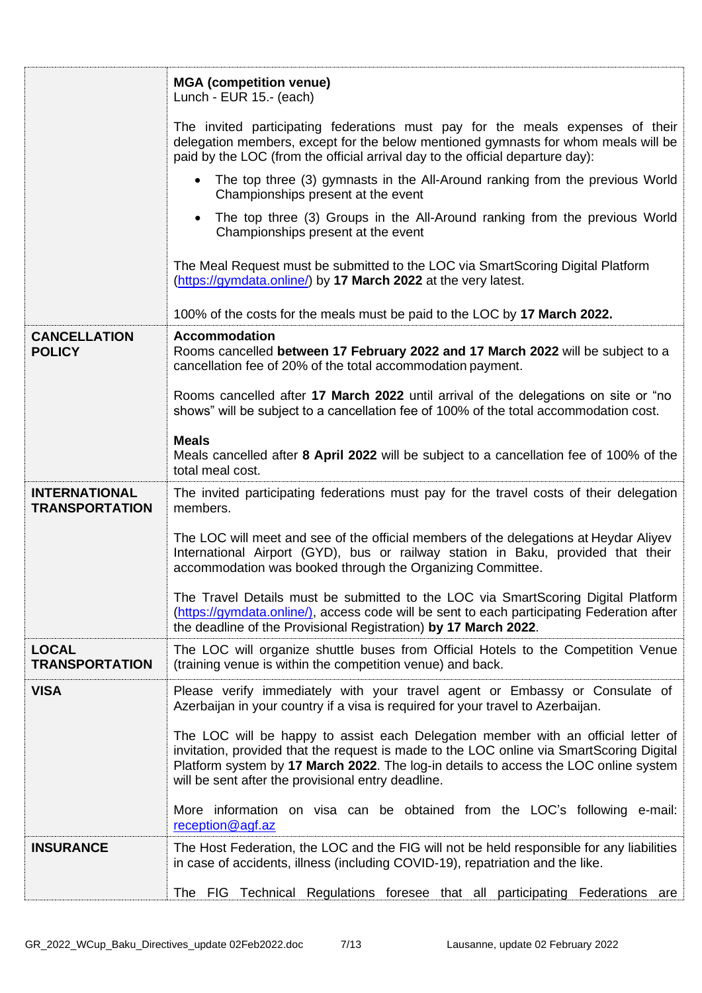|                                               | <b>MGA</b> (competition venue)<br>Lunch - EUR 15.- (each)                                                                                                                                                                                                                                                                   |
|-----------------------------------------------|-----------------------------------------------------------------------------------------------------------------------------------------------------------------------------------------------------------------------------------------------------------------------------------------------------------------------------|
|                                               | The invited participating federations must pay for the meals expenses of their<br>delegation members, except for the below mentioned gymnasts for whom meals will be<br>paid by the LOC (from the official arrival day to the official departure day):                                                                      |
|                                               | • The top three (3) gymnasts in the All-Around ranking from the previous World<br>Championships present at the event                                                                                                                                                                                                        |
|                                               | • The top three (3) Groups in the All-Around ranking from the previous World<br>Championships present at the event                                                                                                                                                                                                          |
|                                               | The Meal Request must be submitted to the LOC via SmartScoring Digital Platform<br>(https://gymdata.online/) by 17 March 2022 at the very latest.                                                                                                                                                                           |
|                                               | 100% of the costs for the meals must be paid to the LOC by 17 March 2022.                                                                                                                                                                                                                                                   |
| <b>CANCELLATION</b>                           | <b>Accommodation</b>                                                                                                                                                                                                                                                                                                        |
| <b>POLICY</b>                                 | Rooms cancelled between 17 February 2022 and 17 March 2022 will be subject to a<br>cancellation fee of 20% of the total accommodation payment.                                                                                                                                                                              |
|                                               | Rooms cancelled after 17 March 2022 until arrival of the delegations on site or "no<br>shows" will be subject to a cancellation fee of 100% of the total accommodation cost.                                                                                                                                                |
|                                               | <b>Meals</b>                                                                                                                                                                                                                                                                                                                |
|                                               | Meals cancelled after 8 April 2022 will be subject to a cancellation fee of 100% of the<br>total meal cost.                                                                                                                                                                                                                 |
| <b>INTERNATIONAL</b><br><b>TRANSPORTATION</b> | The invited participating federations must pay for the travel costs of their delegation<br>members.                                                                                                                                                                                                                         |
|                                               | The LOC will meet and see of the official members of the delegations at Heydar Aliyev<br>International Airport (GYD), bus or railway station in Baku, provided that their<br>accommodation was booked through the Organizing Committee.                                                                                     |
|                                               | The Travel Details must be submitted to the LOC via SmartScoring Digital Platform<br>(https://gymdata.online/), access code will be sent to each participating Federation after<br>the deadline of the Provisional Registration) by 17 March 2022.                                                                          |
| <b>LOCAL</b><br><b>TRANSPORTATION</b>         | The LOC will organize shuttle buses from Official Hotels to the Competition Venue<br>(training venue is within the competition venue) and back.                                                                                                                                                                             |
| <b>VISA</b>                                   | Please verify immediately with your travel agent or Embassy or Consulate of<br>Azerbaijan in your country if a visa is required for your travel to Azerbaijan.                                                                                                                                                              |
|                                               | The LOC will be happy to assist each Delegation member with an official letter of<br>invitation, provided that the request is made to the LOC online via SmartScoring Digital<br>Platform system by 17 March 2022. The log-in details to access the LOC online system<br>will be sent after the provisional entry deadline. |
|                                               | More information on visa can be obtained from the LOC's following e-mail:<br>reception@agf.az                                                                                                                                                                                                                               |
| <b>INSURANCE</b>                              | The Host Federation, the LOC and the FIG will not be held responsible for any liabilities<br>in case of accidents, illness (including COVID-19), repatriation and the like.                                                                                                                                                 |
|                                               | The FIG Technical Regulations foresee that all participating Federations are                                                                                                                                                                                                                                                |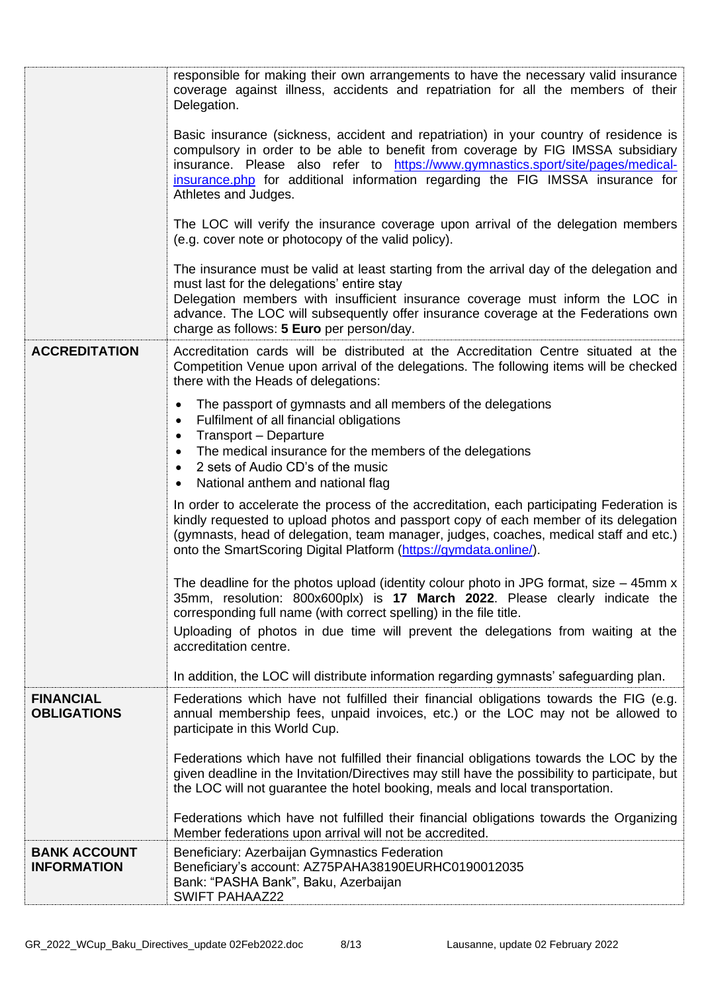|                                           | responsible for making their own arrangements to have the necessary valid insurance<br>coverage against illness, accidents and repatriation for all the members of their<br>Delegation.<br>Basic insurance (sickness, accident and repatriation) in your country of residence is<br>compulsory in order to be able to benefit from coverage by FIG IMSSA subsidiary |
|-------------------------------------------|---------------------------------------------------------------------------------------------------------------------------------------------------------------------------------------------------------------------------------------------------------------------------------------------------------------------------------------------------------------------|
|                                           | insurance. Please also refer to https://www.gymnastics.sport/site/pages/medical-<br>insurance.php for additional information regarding the FIG IMSSA insurance for<br>Athletes and Judges.                                                                                                                                                                          |
|                                           | The LOC will verify the insurance coverage upon arrival of the delegation members<br>(e.g. cover note or photocopy of the valid policy).                                                                                                                                                                                                                            |
|                                           | The insurance must be valid at least starting from the arrival day of the delegation and<br>must last for the delegations' entire stay<br>Delegation members with insufficient insurance coverage must inform the LOC in<br>advance. The LOC will subsequently offer insurance coverage at the Federations own<br>charge as follows: 5 Euro per person/day.         |
| <b>ACCREDITATION</b>                      | Accreditation cards will be distributed at the Accreditation Centre situated at the<br>Competition Venue upon arrival of the delegations. The following items will be checked<br>there with the Heads of delegations:                                                                                                                                               |
|                                           | The passport of gymnasts and all members of the delegations<br>$\bullet$<br>Fulfilment of all financial obligations<br>$\bullet$<br>Transport - Departure<br>$\bullet$<br>The medical insurance for the members of the delegations<br>$\bullet$<br>2 sets of Audio CD's of the music<br>$\bullet$<br>National anthem and national flag<br>$\bullet$                 |
|                                           | In order to accelerate the process of the accreditation, each participating Federation is<br>kindly requested to upload photos and passport copy of each member of its delegation<br>(gymnasts, head of delegation, team manager, judges, coaches, medical staff and etc.)<br>onto the SmartScoring Digital Platform (https://gymdata.online/).                     |
|                                           | The deadline for the photos upload (identity colour photo in JPG format, size $-$ 45mm x<br>35mm, resolution: 800x600plx) is 17 March 2022. Please clearly indicate the<br>corresponding full name (with correct spelling) in the file title.                                                                                                                       |
|                                           | Uploading of photos in due time will prevent the delegations from waiting at the<br>accreditation centre.                                                                                                                                                                                                                                                           |
|                                           | In addition, the LOC will distribute information regarding gymnasts' safeguarding plan.                                                                                                                                                                                                                                                                             |
| <b>FINANCIAL</b><br><b>OBLIGATIONS</b>    | Federations which have not fulfilled their financial obligations towards the FIG (e.g.<br>annual membership fees, unpaid invoices, etc.) or the LOC may not be allowed to<br>participate in this World Cup.                                                                                                                                                         |
|                                           | Federations which have not fulfilled their financial obligations towards the LOC by the<br>given deadline in the Invitation/Directives may still have the possibility to participate, but<br>the LOC will not guarantee the hotel booking, meals and local transportation.                                                                                          |
|                                           | Federations which have not fulfilled their financial obligations towards the Organizing<br>Member federations upon arrival will not be accredited.                                                                                                                                                                                                                  |
| <b>BANK ACCOUNT</b><br><b>INFORMATION</b> | Beneficiary: Azerbaijan Gymnastics Federation<br>Beneficiary's account: AZ75PAHA38190EURHC0190012035<br>Bank: "PASHA Bank", Baku, Azerbaijan<br><b>SWIFT PAHAAZ22</b>                                                                                                                                                                                               |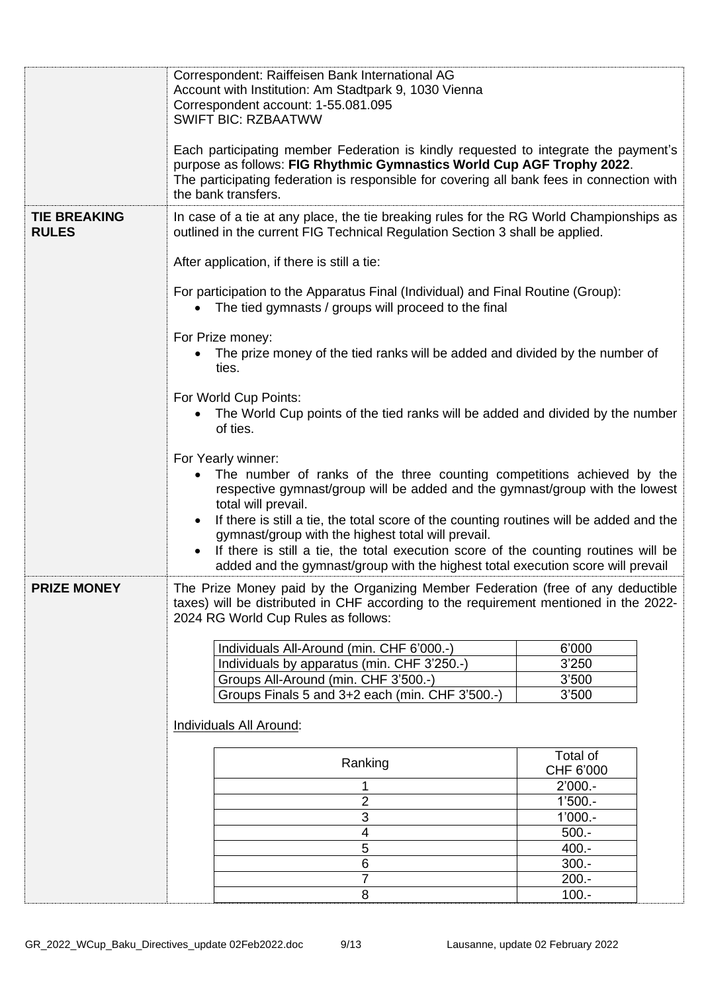|                                     | Correspondent: Raiffeisen Bank International AG<br>Account with Institution: Am Stadtpark 9, 1030 Vienna<br>Correspondent account: 1-55.081.095<br><b>SWIFT BIC: RZBAATWW</b>                                                                                                                                                                                                                                                                                                                                                  |                    |  |  |
|-------------------------------------|--------------------------------------------------------------------------------------------------------------------------------------------------------------------------------------------------------------------------------------------------------------------------------------------------------------------------------------------------------------------------------------------------------------------------------------------------------------------------------------------------------------------------------|--------------------|--|--|
|                                     | Each participating member Federation is kindly requested to integrate the payment's<br>purpose as follows: FIG Rhythmic Gymnastics World Cup AGF Trophy 2022.<br>The participating federation is responsible for covering all bank fees in connection with<br>the bank transfers.                                                                                                                                                                                                                                              |                    |  |  |
| <b>TIE BREAKING</b><br><b>RULES</b> | In case of a tie at any place, the tie breaking rules for the RG World Championships as<br>outlined in the current FIG Technical Regulation Section 3 shall be applied.                                                                                                                                                                                                                                                                                                                                                        |                    |  |  |
|                                     | After application, if there is still a tie:                                                                                                                                                                                                                                                                                                                                                                                                                                                                                    |                    |  |  |
|                                     | For participation to the Apparatus Final (Individual) and Final Routine (Group):<br>The tied gymnasts / groups will proceed to the final                                                                                                                                                                                                                                                                                                                                                                                       |                    |  |  |
|                                     | For Prize money:<br>The prize money of the tied ranks will be added and divided by the number of<br>ties.                                                                                                                                                                                                                                                                                                                                                                                                                      |                    |  |  |
|                                     | For World Cup Points:<br>The World Cup points of the tied ranks will be added and divided by the number<br>of ties.                                                                                                                                                                                                                                                                                                                                                                                                            |                    |  |  |
|                                     | For Yearly winner:<br>The number of ranks of the three counting competitions achieved by the<br>respective gymnast/group will be added and the gymnast/group with the lowest<br>total will prevail.<br>If there is still a tie, the total score of the counting routines will be added and the<br>gymnast/group with the highest total will prevail.<br>If there is still a tie, the total execution score of the counting routines will be<br>added and the gymnast/group with the highest total execution score will prevail |                    |  |  |
| <b>PRIZE MONEY</b>                  | The Prize Money paid by the Organizing Member Federation (free of any deductible<br>taxes) will be distributed in CHF according to the requirement mentioned in the 2022-<br>2024 RG World Cup Rules as follows:                                                                                                                                                                                                                                                                                                               |                    |  |  |
|                                     | Individuals All-Around (min. CHF 6'000.-)                                                                                                                                                                                                                                                                                                                                                                                                                                                                                      | 6'000              |  |  |
|                                     | Individuals by apparatus (min. CHF 3'250.-)                                                                                                                                                                                                                                                                                                                                                                                                                                                                                    | 3'250              |  |  |
|                                     | Groups All-Around (min. CHF 3'500.-)                                                                                                                                                                                                                                                                                                                                                                                                                                                                                           | 3'500              |  |  |
|                                     | Groups Finals 5 and 3+2 each (min. CHF 3'500.-)                                                                                                                                                                                                                                                                                                                                                                                                                                                                                | 3'500              |  |  |
|                                     | <b>Individuals All Around:</b>                                                                                                                                                                                                                                                                                                                                                                                                                                                                                                 |                    |  |  |
|                                     | Total of<br>Ranking<br>CHF 6'000                                                                                                                                                                                                                                                                                                                                                                                                                                                                                               |                    |  |  |
|                                     |                                                                                                                                                                                                                                                                                                                                                                                                                                                                                                                                | $2'000 -$          |  |  |
|                                     | 2                                                                                                                                                                                                                                                                                                                                                                                                                                                                                                                              | $1'500. -$         |  |  |
|                                     | 3                                                                                                                                                                                                                                                                                                                                                                                                                                                                                                                              | $1'000. -$         |  |  |
|                                     | 4<br>$\sqrt{5}$                                                                                                                                                                                                                                                                                                                                                                                                                                                                                                                | $500 -$<br>$400 -$ |  |  |
|                                     | 6                                                                                                                                                                                                                                                                                                                                                                                                                                                                                                                              | $300 -$            |  |  |
|                                     | $\overline{7}$                                                                                                                                                                                                                                                                                                                                                                                                                                                                                                                 | $200.-$            |  |  |
|                                     | 8                                                                                                                                                                                                                                                                                                                                                                                                                                                                                                                              | $100.-$            |  |  |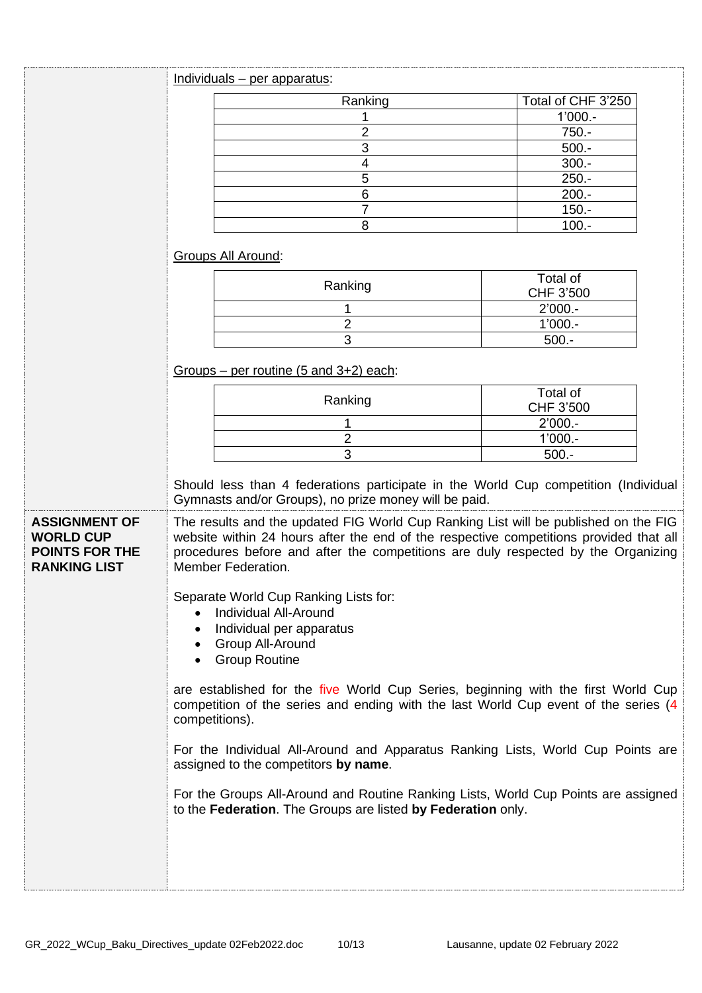|                                                                                                                                                                                                                                                                                                                                               | Individuals - per apparatus:                                                                                                                                                                                                                                                             |                       |  |
|-----------------------------------------------------------------------------------------------------------------------------------------------------------------------------------------------------------------------------------------------------------------------------------------------------------------------------------------------|------------------------------------------------------------------------------------------------------------------------------------------------------------------------------------------------------------------------------------------------------------------------------------------|-----------------------|--|
|                                                                                                                                                                                                                                                                                                                                               | Ranking                                                                                                                                                                                                                                                                                  | Total of CHF 3'250    |  |
|                                                                                                                                                                                                                                                                                                                                               |                                                                                                                                                                                                                                                                                          | $1'000. -$            |  |
|                                                                                                                                                                                                                                                                                                                                               | 2                                                                                                                                                                                                                                                                                        | $750 -$               |  |
|                                                                                                                                                                                                                                                                                                                                               | 3                                                                                                                                                                                                                                                                                        | $500 -$               |  |
|                                                                                                                                                                                                                                                                                                                                               | $\overline{4}$                                                                                                                                                                                                                                                                           | $300 -$               |  |
|                                                                                                                                                                                                                                                                                                                                               | 5                                                                                                                                                                                                                                                                                        | $250. -$              |  |
|                                                                                                                                                                                                                                                                                                                                               | $6\phantom{1}6$                                                                                                                                                                                                                                                                          | $200.-$               |  |
|                                                                                                                                                                                                                                                                                                                                               | $\overline{7}$                                                                                                                                                                                                                                                                           | $150 -$               |  |
|                                                                                                                                                                                                                                                                                                                                               | 8                                                                                                                                                                                                                                                                                        | $100.-$               |  |
|                                                                                                                                                                                                                                                                                                                                               | Groups All Around:                                                                                                                                                                                                                                                                       |                       |  |
|                                                                                                                                                                                                                                                                                                                                               | Ranking                                                                                                                                                                                                                                                                                  | Total of<br>CHF 3'500 |  |
|                                                                                                                                                                                                                                                                                                                                               | 1                                                                                                                                                                                                                                                                                        | $2'000. -$            |  |
|                                                                                                                                                                                                                                                                                                                                               | $\overline{2}$                                                                                                                                                                                                                                                                           | $1'000 -$             |  |
|                                                                                                                                                                                                                                                                                                                                               | 3                                                                                                                                                                                                                                                                                        | $500 -$               |  |
|                                                                                                                                                                                                                                                                                                                                               | Groups – per routine $(5 \text{ and } 3+2)$ each:                                                                                                                                                                                                                                        |                       |  |
|                                                                                                                                                                                                                                                                                                                                               | Ranking                                                                                                                                                                                                                                                                                  | Total of<br>CHF 3'500 |  |
|                                                                                                                                                                                                                                                                                                                                               |                                                                                                                                                                                                                                                                                          | $2'000. -$            |  |
|                                                                                                                                                                                                                                                                                                                                               | $\overline{2}$                                                                                                                                                                                                                                                                           | $1'000 -$             |  |
|                                                                                                                                                                                                                                                                                                                                               | 3                                                                                                                                                                                                                                                                                        | $500.-$               |  |
|                                                                                                                                                                                                                                                                                                                                               | Should less than 4 federations participate in the World Cup competition (Individual<br>Gymnasts and/or Groups), no prize money will be paid.                                                                                                                                             |                       |  |
| <b>ASSIGNMENT OF</b><br><b>WORLD CUP</b><br><b>POINTS FOR THE</b><br><b>RANKING LIST</b>                                                                                                                                                                                                                                                      | The results and the updated FIG World Cup Ranking List will be published on the FIG<br>website within 24 hours after the end of the respective competitions provided that all<br>procedures before and after the competitions are duly respected by the Organizing<br>Member Federation. |                       |  |
| Separate World Cup Ranking Lists for:<br><b>Individual All-Around</b><br>Individual per apparatus<br>• Group All-Around<br><b>Group Routine</b><br>are established for the five World Cup Series, beginning with the first World Cup<br>competition of the series and ending with the last World Cup event of the series (4<br>competitions). |                                                                                                                                                                                                                                                                                          |                       |  |
|                                                                                                                                                                                                                                                                                                                                               |                                                                                                                                                                                                                                                                                          |                       |  |
|                                                                                                                                                                                                                                                                                                                                               | For the Groups All-Around and Routine Ranking Lists, World Cup Points are assigned<br>to the Federation. The Groups are listed by Federation only.                                                                                                                                       |                       |  |
|                                                                                                                                                                                                                                                                                                                                               |                                                                                                                                                                                                                                                                                          |                       |  |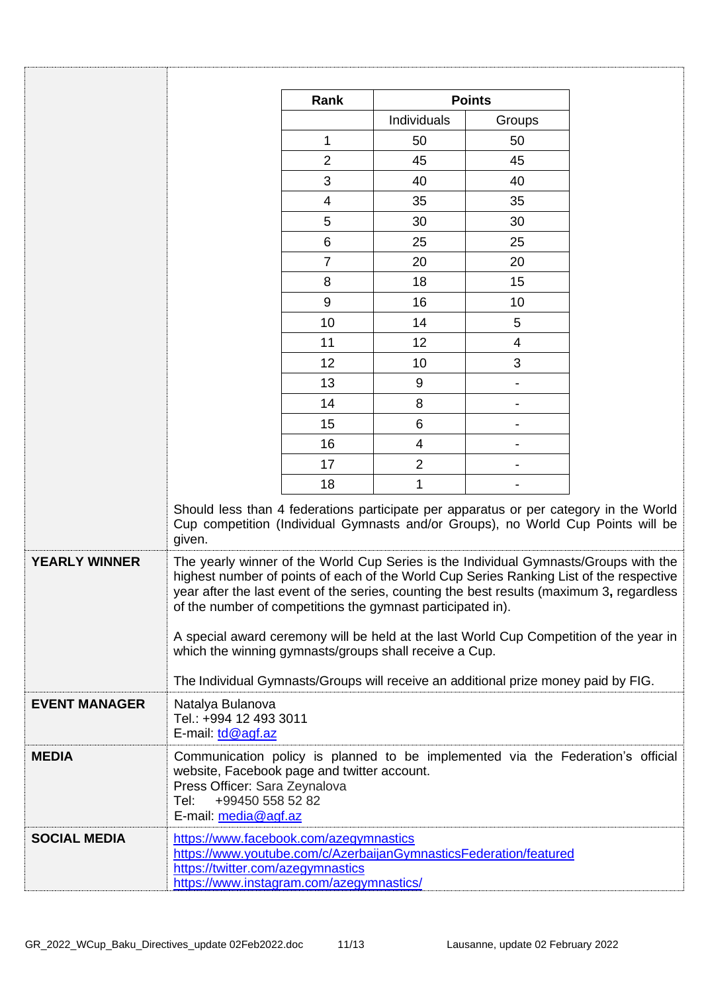|                      |                                                                                                                                                                                              | Rank            | <b>Points</b>  |                          |                                                                                                                                                                                                                                                                                                                                                                        |
|----------------------|----------------------------------------------------------------------------------------------------------------------------------------------------------------------------------------------|-----------------|----------------|--------------------------|------------------------------------------------------------------------------------------------------------------------------------------------------------------------------------------------------------------------------------------------------------------------------------------------------------------------------------------------------------------------|
|                      |                                                                                                                                                                                              |                 | Individuals    | Groups                   |                                                                                                                                                                                                                                                                                                                                                                        |
|                      |                                                                                                                                                                                              | 1               | 50             | 50                       |                                                                                                                                                                                                                                                                                                                                                                        |
|                      |                                                                                                                                                                                              | $\overline{2}$  | 45             | 45                       |                                                                                                                                                                                                                                                                                                                                                                        |
|                      |                                                                                                                                                                                              | 3               | 40             | 40                       |                                                                                                                                                                                                                                                                                                                                                                        |
|                      |                                                                                                                                                                                              | $\overline{4}$  | 35             | 35                       |                                                                                                                                                                                                                                                                                                                                                                        |
|                      |                                                                                                                                                                                              | 5               | 30             | 30                       |                                                                                                                                                                                                                                                                                                                                                                        |
|                      |                                                                                                                                                                                              | $6\phantom{1}6$ | 25             | 25                       |                                                                                                                                                                                                                                                                                                                                                                        |
|                      |                                                                                                                                                                                              | $\overline{7}$  | 20             | 20                       |                                                                                                                                                                                                                                                                                                                                                                        |
|                      |                                                                                                                                                                                              | 8               | 18             | 15                       |                                                                                                                                                                                                                                                                                                                                                                        |
|                      |                                                                                                                                                                                              | 9               | 16             | 10                       |                                                                                                                                                                                                                                                                                                                                                                        |
|                      |                                                                                                                                                                                              | 10              | 14             | 5                        |                                                                                                                                                                                                                                                                                                                                                                        |
|                      |                                                                                                                                                                                              | 11              | 12             | $\overline{\mathcal{A}}$ |                                                                                                                                                                                                                                                                                                                                                                        |
|                      |                                                                                                                                                                                              | 12              | 10             | 3                        |                                                                                                                                                                                                                                                                                                                                                                        |
|                      |                                                                                                                                                                                              | 13              | 9              |                          |                                                                                                                                                                                                                                                                                                                                                                        |
|                      |                                                                                                                                                                                              | 14              | 8              |                          |                                                                                                                                                                                                                                                                                                                                                                        |
|                      |                                                                                                                                                                                              | 15              | 6              |                          |                                                                                                                                                                                                                                                                                                                                                                        |
|                      |                                                                                                                                                                                              | 16              | $\overline{4}$ |                          |                                                                                                                                                                                                                                                                                                                                                                        |
|                      |                                                                                                                                                                                              | 17              | $\overline{2}$ |                          |                                                                                                                                                                                                                                                                                                                                                                        |
|                      |                                                                                                                                                                                              | 18              | 1              |                          |                                                                                                                                                                                                                                                                                                                                                                        |
|                      | given.                                                                                                                                                                                       |                 |                |                          | Should less than 4 federations participate per apparatus or per category in the World<br>Cup competition (Individual Gymnasts and/or Groups), no World Cup Points will be                                                                                                                                                                                              |
| <b>YEARLY WINNER</b> | of the number of competitions the gymnast participated in).<br>which the winning gymnasts/groups shall receive a Cup.                                                                        |                 |                |                          | The yearly winner of the World Cup Series is the Individual Gymnasts/Groups with the<br>highest number of points of each of the World Cup Series Ranking List of the respective<br>year after the last event of the series, counting the best results (maximum 3, regardless<br>A special award ceremony will be held at the last World Cup Competition of the year in |
|                      | The Individual Gymnasts/Groups will receive an additional prize money paid by FIG.                                                                                                           |                 |                |                          |                                                                                                                                                                                                                                                                                                                                                                        |
| <b>EVENT MANAGER</b> | Natalya Bulanova<br>Tel.: +994 12 493 3011<br>E-mail: td@agf.az                                                                                                                              |                 |                |                          |                                                                                                                                                                                                                                                                                                                                                                        |
| <b>MEDIA</b>         | website, Facebook page and twitter account.<br>Press Officer: Sara Zeynalova<br>Tel:<br>+99450 558 52 82<br>E-mail: media@agf.az                                                             |                 |                |                          | Communication policy is planned to be implemented via the Federation's official                                                                                                                                                                                                                                                                                        |
| <b>SOCIAL MEDIA</b>  | https://www.facebook.com/azegymnastics<br>https://www.youtube.com/c/AzerbaijanGymnasticsFederation/featured<br>https://twitter.com/azegymnastics<br>https://www.instagram.com/azegymnastics/ |                 |                |                          |                                                                                                                                                                                                                                                                                                                                                                        |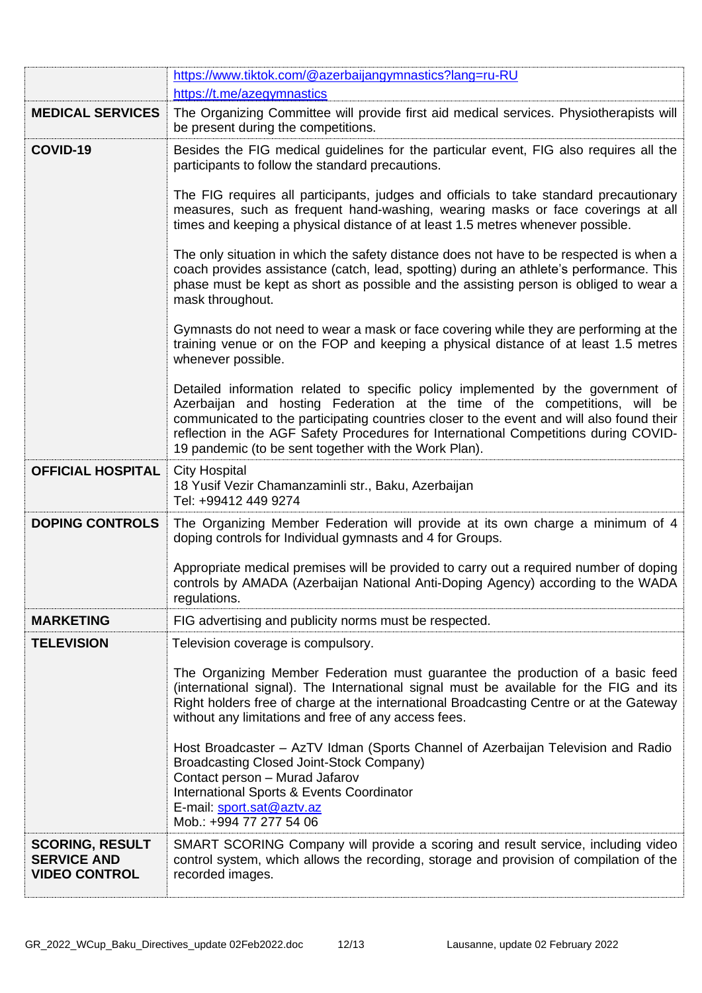|                                                                      | https://www.tiktok.com/@azerbaijangymnastics?lang=ru-RU                                                                                                                                                                                                                                                                                                                                                      |
|----------------------------------------------------------------------|--------------------------------------------------------------------------------------------------------------------------------------------------------------------------------------------------------------------------------------------------------------------------------------------------------------------------------------------------------------------------------------------------------------|
|                                                                      | https://t.me/azegymnastics                                                                                                                                                                                                                                                                                                                                                                                   |
| <b>MEDICAL SERVICES</b>                                              | The Organizing Committee will provide first aid medical services. Physiotherapists will<br>be present during the competitions.                                                                                                                                                                                                                                                                               |
| COVID-19                                                             | Besides the FIG medical guidelines for the particular event, FIG also requires all the<br>participants to follow the standard precautions.                                                                                                                                                                                                                                                                   |
|                                                                      | The FIG requires all participants, judges and officials to take standard precautionary<br>measures, such as frequent hand-washing, wearing masks or face coverings at all<br>times and keeping a physical distance of at least 1.5 metres whenever possible.                                                                                                                                                 |
|                                                                      | The only situation in which the safety distance does not have to be respected is when a<br>coach provides assistance (catch, lead, spotting) during an athlete's performance. This<br>phase must be kept as short as possible and the assisting person is obliged to wear a<br>mask throughout.                                                                                                              |
|                                                                      | Gymnasts do not need to wear a mask or face covering while they are performing at the<br>training venue or on the FOP and keeping a physical distance of at least 1.5 metres<br>whenever possible.                                                                                                                                                                                                           |
|                                                                      | Detailed information related to specific policy implemented by the government of<br>Azerbaijan and hosting Federation at the time of the competitions, will be<br>communicated to the participating countries closer to the event and will also found their<br>reflection in the AGF Safety Procedures for International Competitions during COVID-<br>19 pandemic (to be sent together with the Work Plan). |
| <b>OFFICIAL HOSPITAL</b>                                             | <b>City Hospital</b><br>18 Yusif Vezir Chamanzaminli str., Baku, Azerbaijan<br>Tel: +99412 449 9274                                                                                                                                                                                                                                                                                                          |
| <b>DOPING CONTROLS</b>                                               | The Organizing Member Federation will provide at its own charge a minimum of 4<br>doping controls for Individual gymnasts and 4 for Groups.                                                                                                                                                                                                                                                                  |
|                                                                      | Appropriate medical premises will be provided to carry out a required number of doping<br>controls by AMADA (Azerbaijan National Anti-Doping Agency) according to the WADA<br>regulations.                                                                                                                                                                                                                   |
| <b>MARKETING</b>                                                     | FIG advertising and publicity norms must be respected.                                                                                                                                                                                                                                                                                                                                                       |
| <b>TELEVISION</b>                                                    | Television coverage is compulsory.                                                                                                                                                                                                                                                                                                                                                                           |
|                                                                      | The Organizing Member Federation must guarantee the production of a basic feed<br>(international signal). The International signal must be available for the FIG and its<br>Right holders free of charge at the international Broadcasting Centre or at the Gateway<br>without any limitations and free of any access fees.                                                                                  |
|                                                                      | Host Broadcaster - AzTV Idman (Sports Channel of Azerbaijan Television and Radio<br><b>Broadcasting Closed Joint-Stock Company)</b><br>Contact person - Murad Jafarov<br>International Sports & Events Coordinator<br>E-mail: sport.sat@aztv.az<br>Mob.: +994 77 277 54 06                                                                                                                                   |
| <b>SCORING, RESULT</b><br><b>SERVICE AND</b><br><b>VIDEO CONTROL</b> | SMART SCORING Company will provide a scoring and result service, including video<br>control system, which allows the recording, storage and provision of compilation of the<br>recorded images.                                                                                                                                                                                                              |